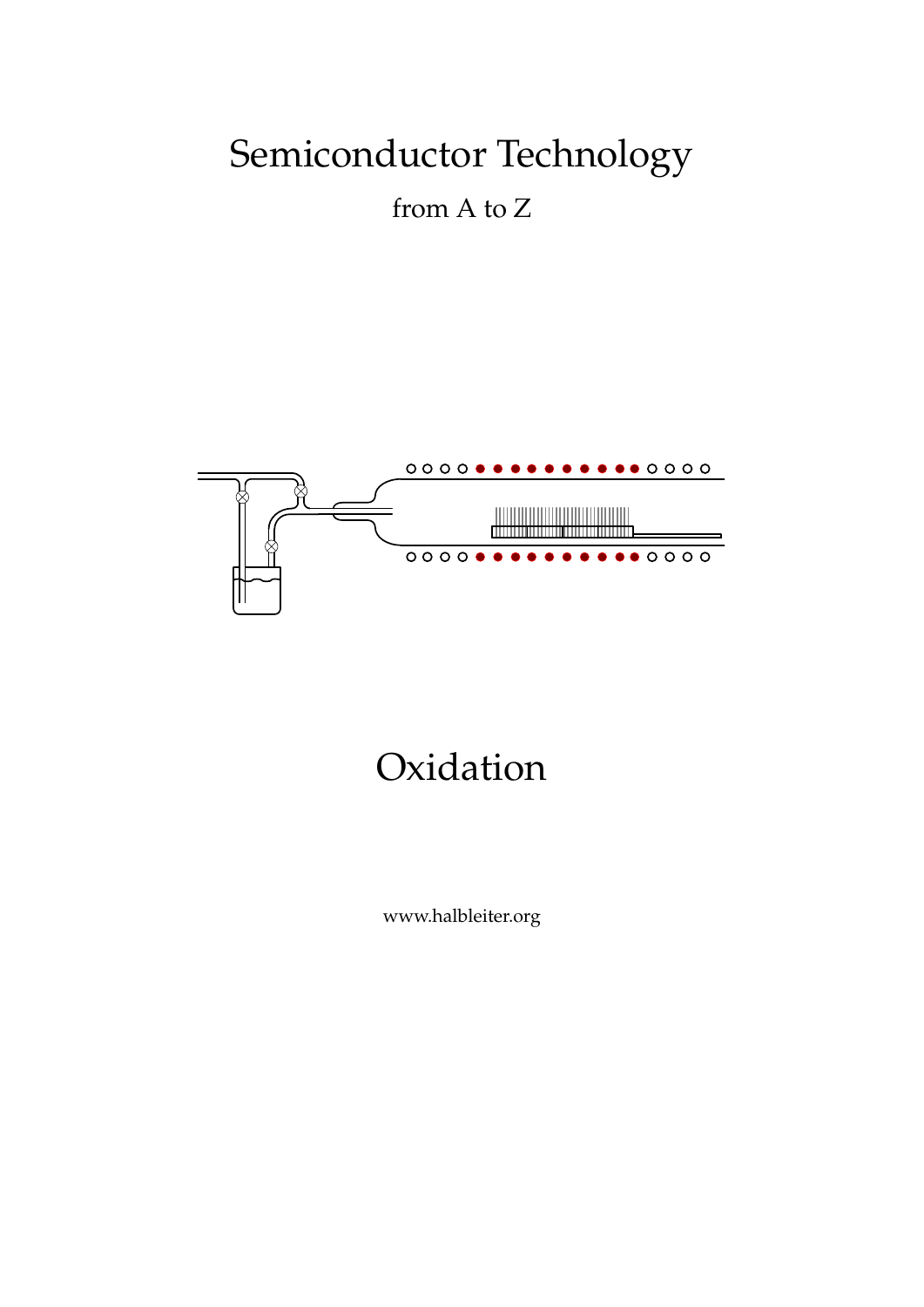# Semiconductor Technology

from A to Z



# Oxidation

www.halbleiter.org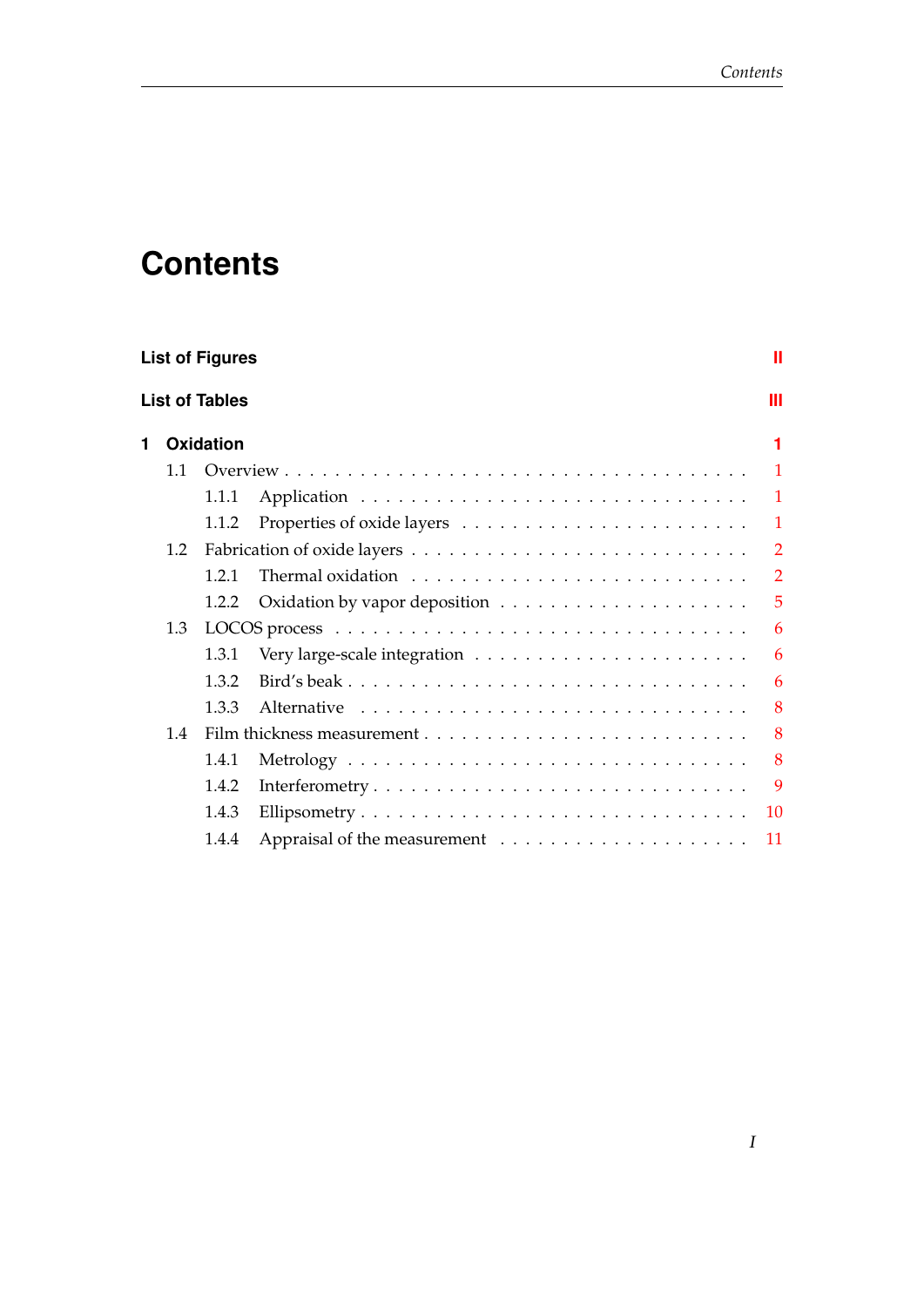## **Contents**

| <b>List of Figures</b><br>Ш |     |           |                                                                                 |                |  |  |  |  |
|-----------------------------|-----|-----------|---------------------------------------------------------------------------------|----------------|--|--|--|--|
| <b>List of Tables</b>       |     |           |                                                                                 |                |  |  |  |  |
| 1                           |     | Oxidation |                                                                                 | 1              |  |  |  |  |
|                             | 1.1 |           |                                                                                 | $\mathbf{1}$   |  |  |  |  |
|                             |     | 1.1.1     |                                                                                 | $\mathbf{1}$   |  |  |  |  |
|                             |     | 1.1.2     |                                                                                 | $\mathbf{1}$   |  |  |  |  |
|                             | 1.2 |           |                                                                                 | $\overline{2}$ |  |  |  |  |
|                             |     | 1.2.1     | Thermal oxidation $\dots \dots \dots \dots \dots \dots \dots \dots \dots \dots$ | $\overline{2}$ |  |  |  |  |
|                             |     | 1.2.2     |                                                                                 | 5              |  |  |  |  |
|                             | 1.3 |           |                                                                                 | 6              |  |  |  |  |
|                             |     | 1.3.1     |                                                                                 | 6              |  |  |  |  |
|                             |     | 1.3.2     |                                                                                 | 6              |  |  |  |  |
|                             |     | 1.3.3     |                                                                                 | 8              |  |  |  |  |
|                             | 1.4 |           |                                                                                 | 8              |  |  |  |  |
|                             |     | 1.4.1     |                                                                                 | 8              |  |  |  |  |
|                             |     | 1.4.2     |                                                                                 | 9              |  |  |  |  |
|                             |     | 1.4.3     |                                                                                 | 10             |  |  |  |  |
|                             |     | 1.4.4     |                                                                                 | 11             |  |  |  |  |
|                             |     |           |                                                                                 |                |  |  |  |  |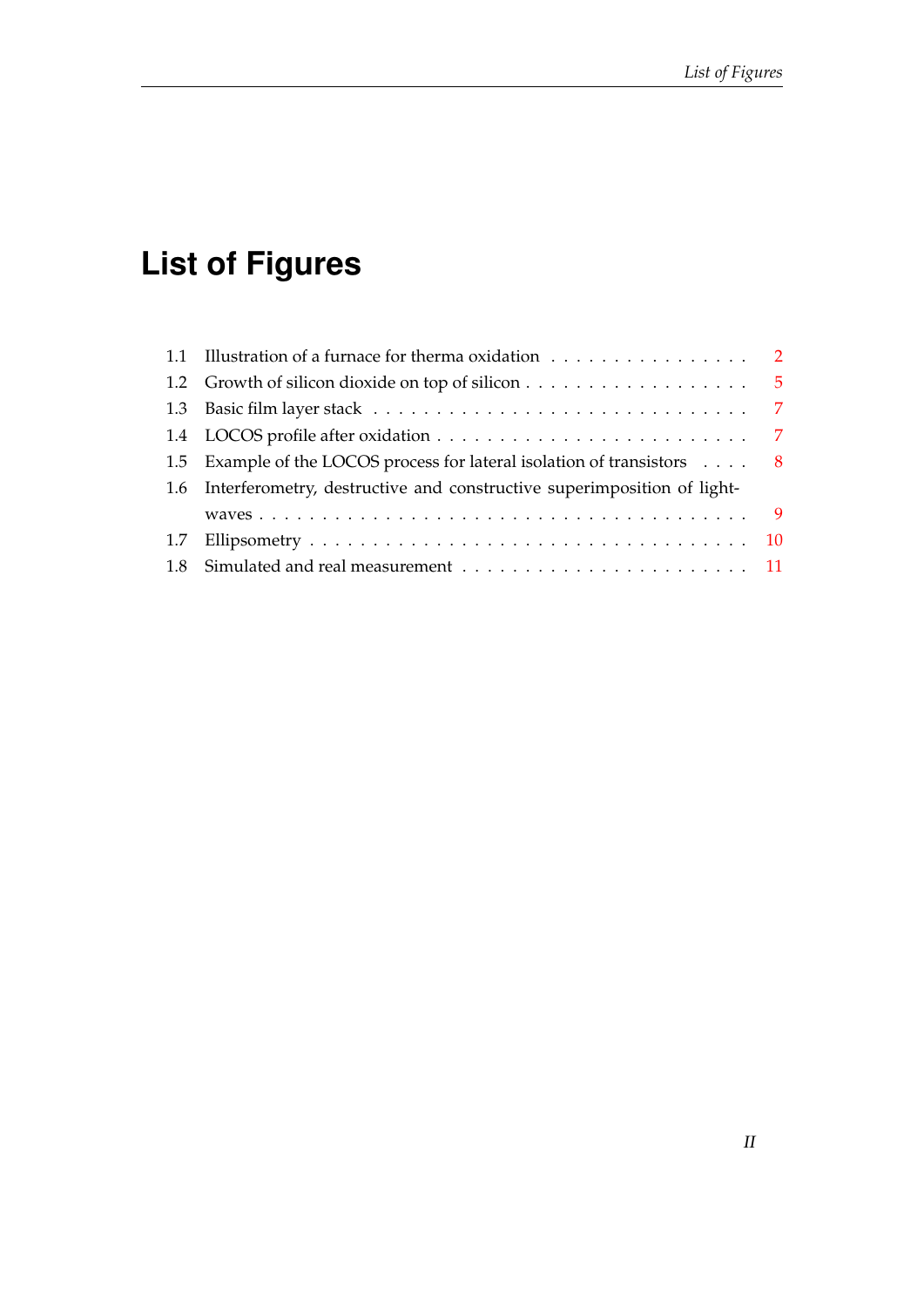# <span id="page-3-0"></span>**List of Figures**

|  | 1.1 Illustration of a furnace for therma oxidation 2<br>1.5 Example of the LOCOS process for lateral isolation of transistors $\ldots$ 8<br>1.6 Interferometry, destructive and constructive superimposition of light- |  |  |
|--|------------------------------------------------------------------------------------------------------------------------------------------------------------------------------------------------------------------------|--|--|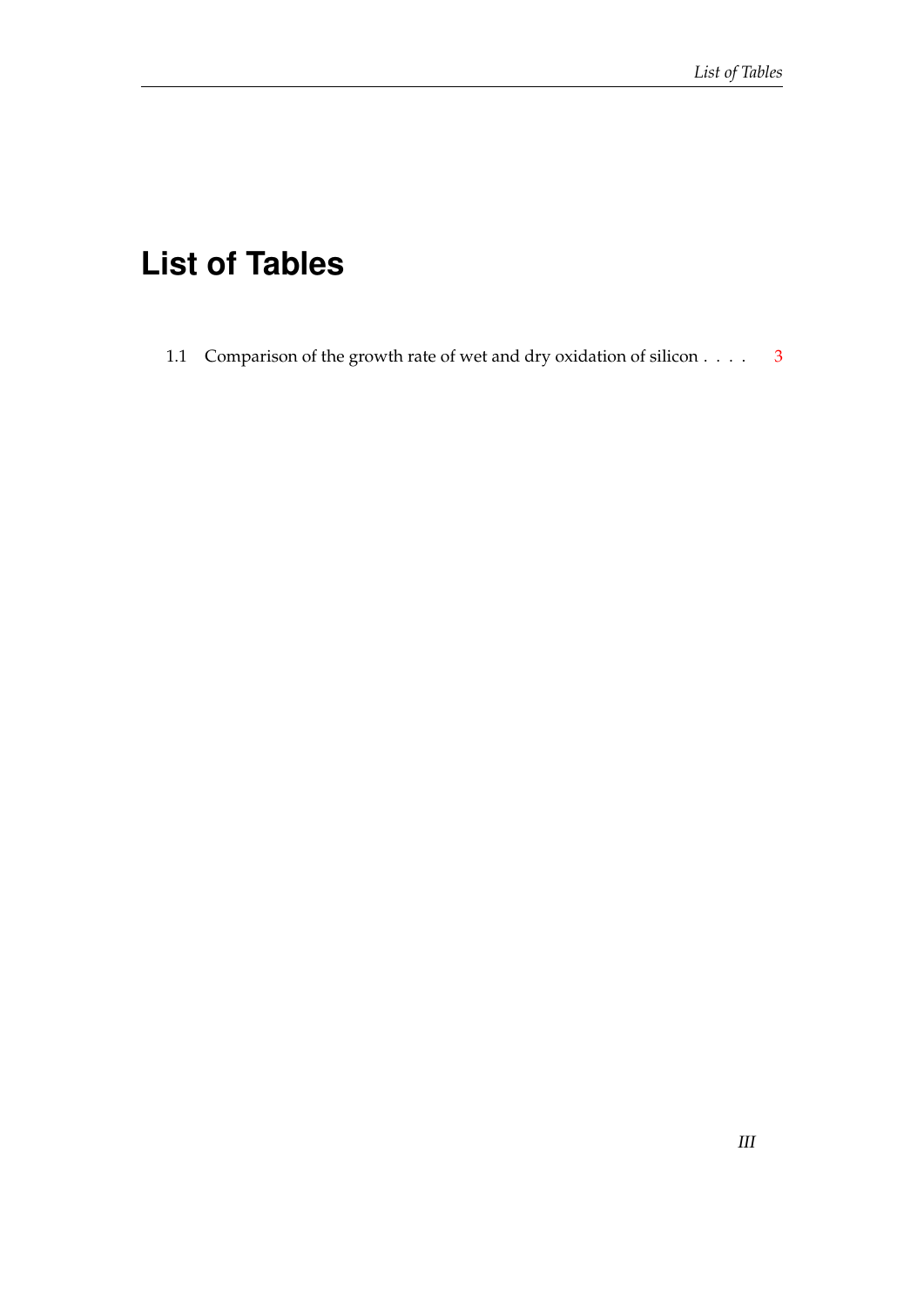## <span id="page-4-0"></span>**List of Tables**

1.1 Comparison of the growth rate of wet and dry oxidation of silicon . . . . [3](#page-7-0)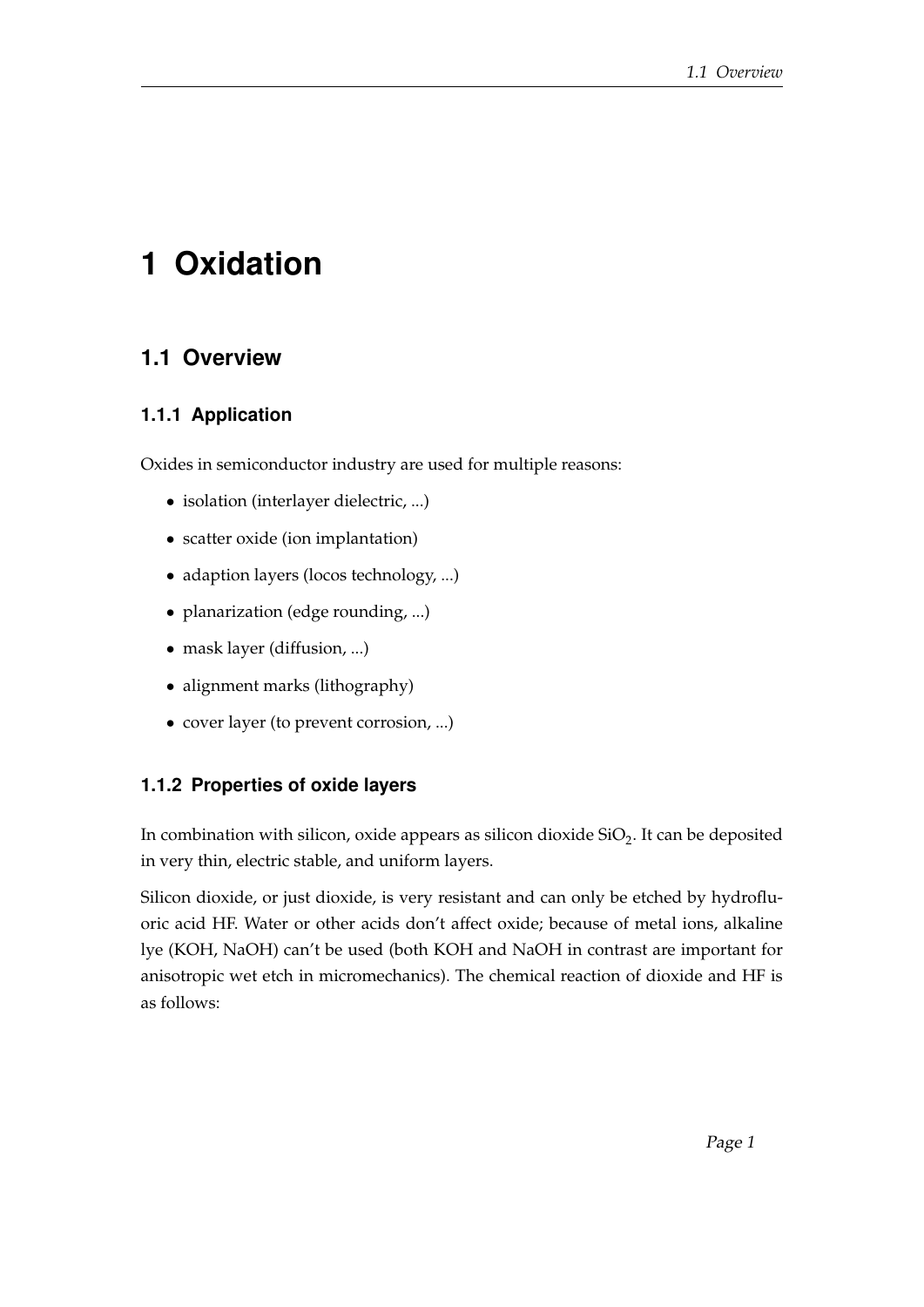## <span id="page-5-0"></span>**1 Oxidation**

### <span id="page-5-1"></span>**1.1 Overview**

#### <span id="page-5-2"></span>**1.1.1 Application**

Oxides in semiconductor industry are used for multiple reasons:

- isolation (interlayer dielectric, ...)
- scatter oxide (ion implantation)
- adaption layers (locos technology, ...)
- planarization (edge rounding, ...)
- mask layer (diffusion, ...)
- alignment marks (lithography)
- cover layer (to prevent corrosion, ...)

#### <span id="page-5-3"></span>**1.1.2 Properties of oxide layers**

In combination with silicon, oxide appears as silicon dioxide  $\mathrm{SiO}_2$ . It can be deposited in very thin, electric stable, and uniform layers.

Silicon dioxide, or just dioxide, is very resistant and can only be etched by hydrofluoric acid HF. Water or other acids don't affect oxide; because of metal ions, alkaline lye (KOH, NaOH) can't be used (both KOH and NaOH in contrast are important for anisotropic wet etch in micromechanics). The chemical reaction of dioxide and HF is as follows: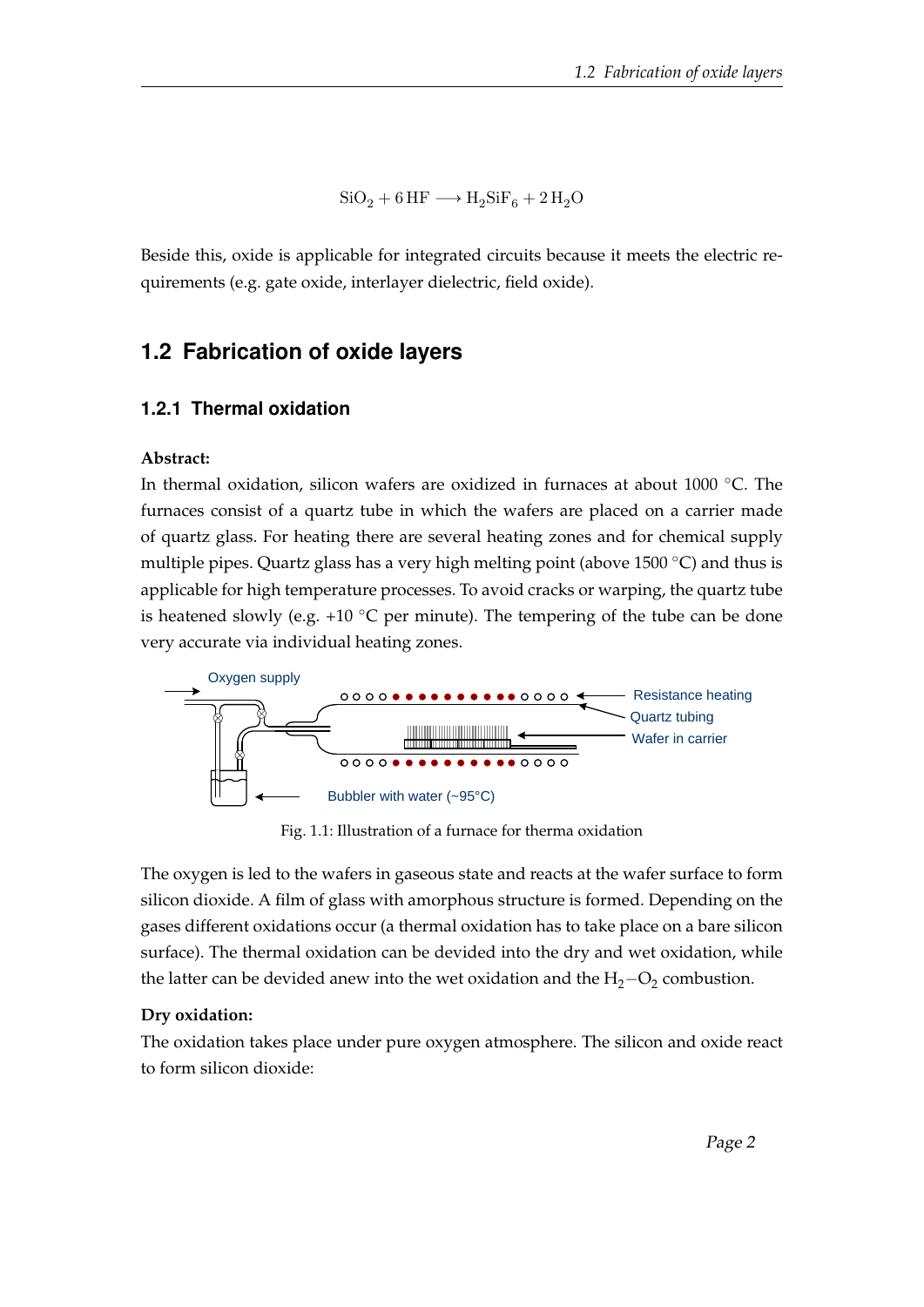$$
SiO_2 + 6\,\mathrm{HF} \longrightarrow \mathrm{H_2SiF_6} + 2\,\mathrm{H_2O}
$$

Beside this, oxide is applicable for integrated circuits because it meets the electric requirements (e.g. gate oxide, interlayer dielectric, field oxide).

#### <span id="page-6-0"></span>**1.2 Fabrication of oxide layers**

#### <span id="page-6-1"></span>**1.2.1 Thermal oxidation**

#### **Abstract:**

In thermal oxidation, silicon wafers are oxidized in furnaces at about 1000 ◦C. The furnaces consist of a quartz tube in which the wafers are placed on a carrier made of quartz glass. For heating there are several heating zones and for chemical supply multiple pipes. Quartz glass has a very high melting point (above 1500 ◦C) and thus is applicable for high temperature processes. To avoid cracks or warping, the quartz tube is heatened slowly (e.g. +10  $\degree$ C per minute). The tempering of the tube can be done very accurate via individual heating zones.

<span id="page-6-2"></span>

Fig. 1.1: Illustration of a furnace for therma oxidation

The oxygen is led to the wafers in gaseous state and reacts at the wafer surface to form silicon dioxide. A film of glass with amorphous structure is formed. Depending on the gases different oxidations occur (a thermal oxidation has to take place on a bare silicon surface). The thermal oxidation can be devided into the dry and wet oxidation, while the latter can be devided anew into the wet oxidation and the  $H_2-O_2$  combustion.

#### **Dry oxidation:**

The oxidation takes place under pure oxygen atmosphere. The silicon and oxide react to form silicon dioxide: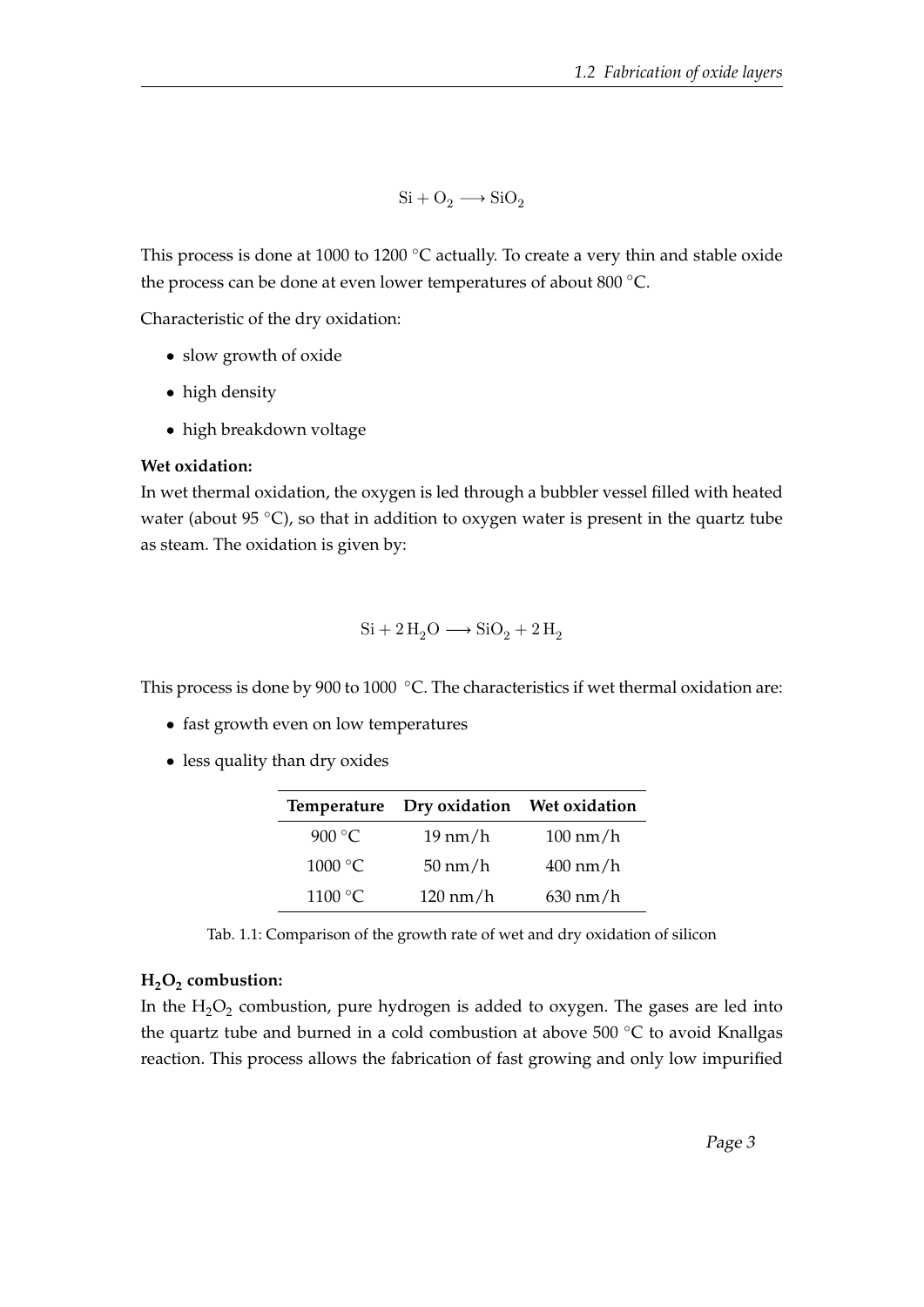$$
Si + O_2 \longrightarrow SiO_2
$$

This process is done at 1000 to 1200 °C actually. To create a very thin and stable oxide the process can be done at even lower temperatures of about 800 ◦C.

Characteristic of the dry oxidation:

- slow growth of oxide
- high density
- high breakdown voltage

#### **Wet oxidation:**

In wet thermal oxidation, the oxygen is led through a bubbler vessel filled with heated water (about 95 $\degree$ C), so that in addition to oxygen water is present in the quartz tube as steam. The oxidation is given by:

$$
\mathrm{Si} + 2\,\mathrm{H}_2\mathrm{O} \longrightarrow \mathrm{SiO}_2 + 2\,\mathrm{H}_2
$$

This process is done by 900 to 1000 ℃. The characteristics if wet thermal oxidation are:

- fast growth even on low temperatures
- <span id="page-7-0"></span>• less quality than dry oxides

|                  | Temperature Dry oxidation Wet oxidation |                    |
|------------------|-----------------------------------------|--------------------|
| 900 °C           | $19 \text{ nm/h}$                       | $100 \text{ nm/h}$ |
| 1000 °C          | $50 \text{ nm/h}$                       | $400 \text{ nm/h}$ |
| $1100\text{ °C}$ | $120 \text{ nm/h}$                      | $630 \text{ nm/h}$ |

Tab. 1.1: Comparison of the growth rate of wet and dry oxidation of silicon

#### **H2O<sup>2</sup> combustion:**

In the  $\rm H_2O_2$  combustion, pure hydrogen is added to oxygen. The gases are led into the quartz tube and burned in a cold combustion at above 500 ◦C to avoid Knallgas reaction. This process allows the fabrication of fast growing and only low impurified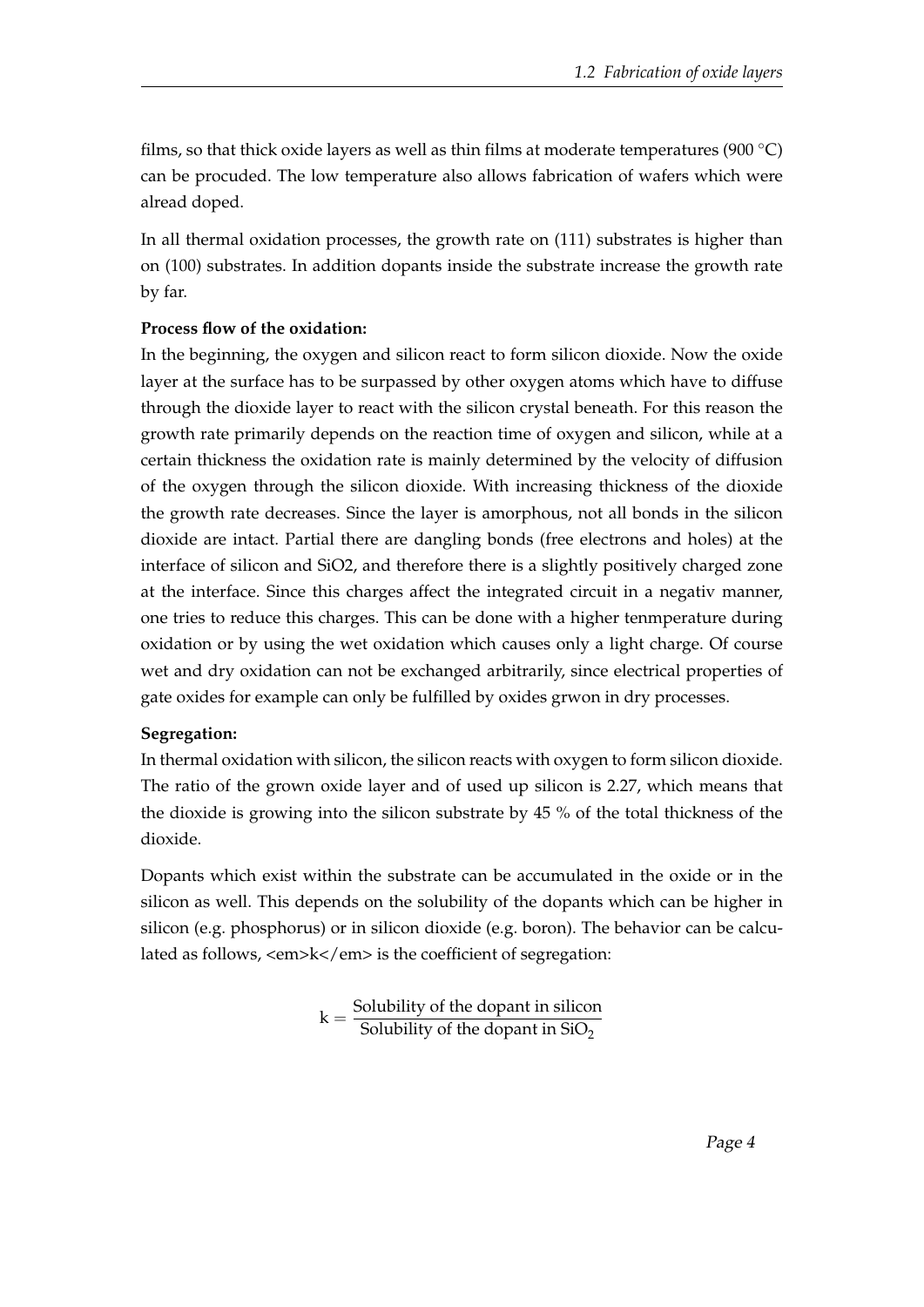films, so that thick oxide layers as well as thin films at moderate temperatures (900  $\degree$ C) can be procuded. The low temperature also allows fabrication of wafers which were alread doped.

In all thermal oxidation processes, the growth rate on (111) substrates is higher than on (100) substrates. In addition dopants inside the substrate increase the growth rate by far.

#### **Process flow of the oxidation:**

In the beginning, the oxygen and silicon react to form silicon dioxide. Now the oxide layer at the surface has to be surpassed by other oxygen atoms which have to diffuse through the dioxide layer to react with the silicon crystal beneath. For this reason the growth rate primarily depends on the reaction time of oxygen and silicon, while at a certain thickness the oxidation rate is mainly determined by the velocity of diffusion of the oxygen through the silicon dioxide. With increasing thickness of the dioxide the growth rate decreases. Since the layer is amorphous, not all bonds in the silicon dioxide are intact. Partial there are dangling bonds (free electrons and holes) at the interface of silicon and SiO2, and therefore there is a slightly positively charged zone at the interface. Since this charges affect the integrated circuit in a negativ manner, one tries to reduce this charges. This can be done with a higher tenmperature during oxidation or by using the wet oxidation which causes only a light charge. Of course wet and dry oxidation can not be exchanged arbitrarily, since electrical properties of gate oxides for example can only be fulfilled by oxides grwon in dry processes.

#### **Segregation:**

In thermal oxidation with silicon, the silicon reacts with oxygen to form silicon dioxide. The ratio of the grown oxide layer and of used up silicon is 2.27, which means that the dioxide is growing into the silicon substrate by 45 % of the total thickness of the dioxide.

Dopants which exist within the substrate can be accumulated in the oxide or in the silicon as well. This depends on the solubility of the dopants which can be higher in silicon (e.g. phosphorus) or in silicon dioxide (e.g. boron). The behavior can be calculated as follows, <em>k</em> is the coefficient of segregation:

$$
k = \frac{Solubility\ of\ the\ dopant\ in\ silicon}{Solubility\ of\ the\ dopant\ in\ SiO_2}
$$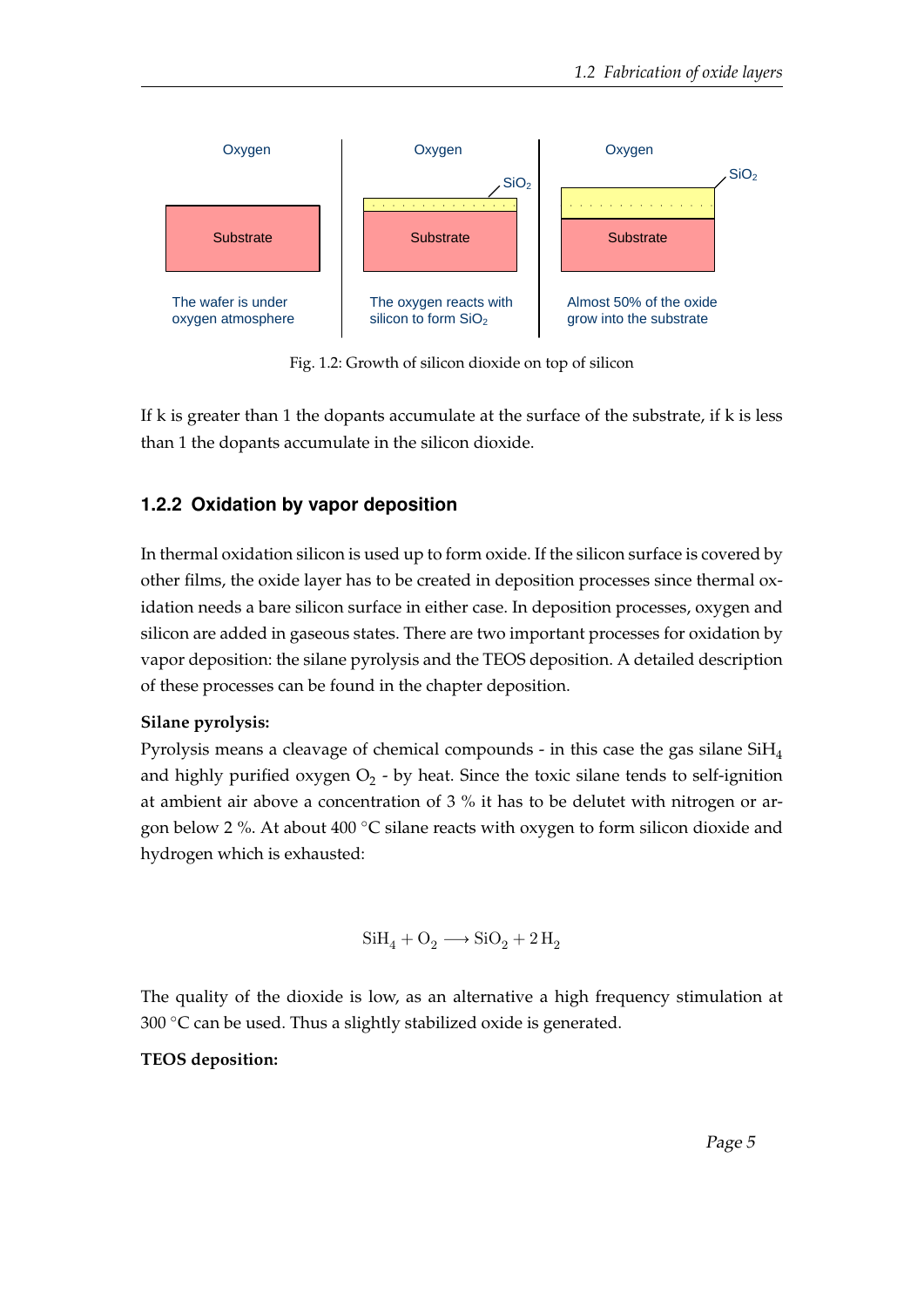<span id="page-9-1"></span>

Fig. 1.2: Growth of silicon dioxide on top of silicon

If k is greater than 1 the dopants accumulate at the surface of the substrate, if k is less than 1 the dopants accumulate in the silicon dioxide.

#### <span id="page-9-0"></span>**1.2.2 Oxidation by vapor deposition**

In thermal oxidation silicon is used up to form oxide. If the silicon surface is covered by other films, the oxide layer has to be created in deposition processes since thermal oxidation needs a bare silicon surface in either case. In deposition processes, oxygen and silicon are added in gaseous states. There are two important processes for oxidation by vapor deposition: the silane pyrolysis and the TEOS deposition. A detailed description of these processes can be found in the chapter deposition.

#### **Silane pyrolysis:**

Pyrolysis means a cleavage of chemical compounds - in this case the gas silane SiH<sup>4</sup> and highly purified oxygen  $\mathrm{O}_2$  - by heat. Since the toxic silane tends to self-ignition at ambient air above a concentration of 3 % it has to be delutet with nitrogen or argon below 2 %. At about 400 ◦C silane reacts with oxygen to form silicon dioxide and hydrogen which is exhausted:

$$
\textrm{SiH}_4 + \textrm{O}_2 \longrightarrow \textrm{SiO}_2 + 2 \,\textrm{H}_2
$$

The quality of the dioxide is low, as an alternative a high frequency stimulation at 300  $\degree$ C can be used. Thus a slightly stabilized oxide is generated.

#### **TEOS deposition:**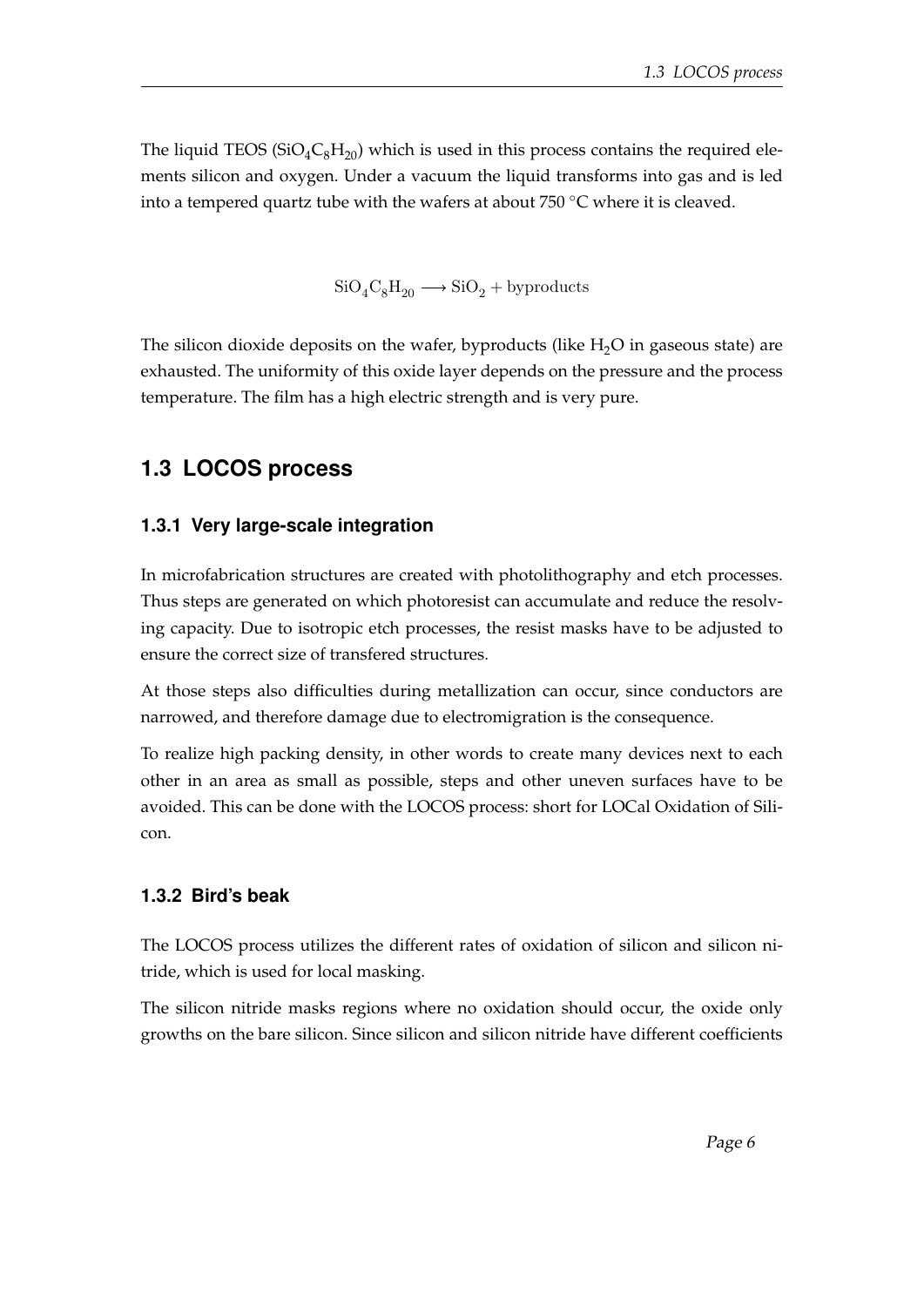The liquid TEOS ( $SiO_4C_8H_{20}$ ) which is used in this process contains the required elements silicon and oxygen. Under a vacuum the liquid transforms into gas and is led into a tempered quartz tube with the wafers at about 750  $\degree$ C where it is cleaved.

 $SiO_4C_8H_{20} \longrightarrow SiO_2 + by products$ 

The silicon dioxide deposits on the wafer, byproducts (like  $H_2O$  in gaseous state) are exhausted. The uniformity of this oxide layer depends on the pressure and the process temperature. The film has a high electric strength and is very pure.

### <span id="page-10-0"></span>**1.3 LOCOS process**

#### <span id="page-10-1"></span>**1.3.1 Very large-scale integration**

In microfabrication structures are created with photolithography and etch processes. Thus steps are generated on which photoresist can accumulate and reduce the resolving capacity. Due to isotropic etch processes, the resist masks have to be adjusted to ensure the correct size of transfered structures.

At those steps also difficulties during metallization can occur, since conductors are narrowed, and therefore damage due to electromigration is the consequence.

To realize high packing density, in other words to create many devices next to each other in an area as small as possible, steps and other uneven surfaces have to be avoided. This can be done with the LOCOS process: short for LOCal Oxidation of Silicon.

#### <span id="page-10-2"></span>**1.3.2 Bird's beak**

The LOCOS process utilizes the different rates of oxidation of silicon and silicon nitride, which is used for local masking.

The silicon nitride masks regions where no oxidation should occur, the oxide only growths on the bare silicon. Since silicon and silicon nitride have different coefficients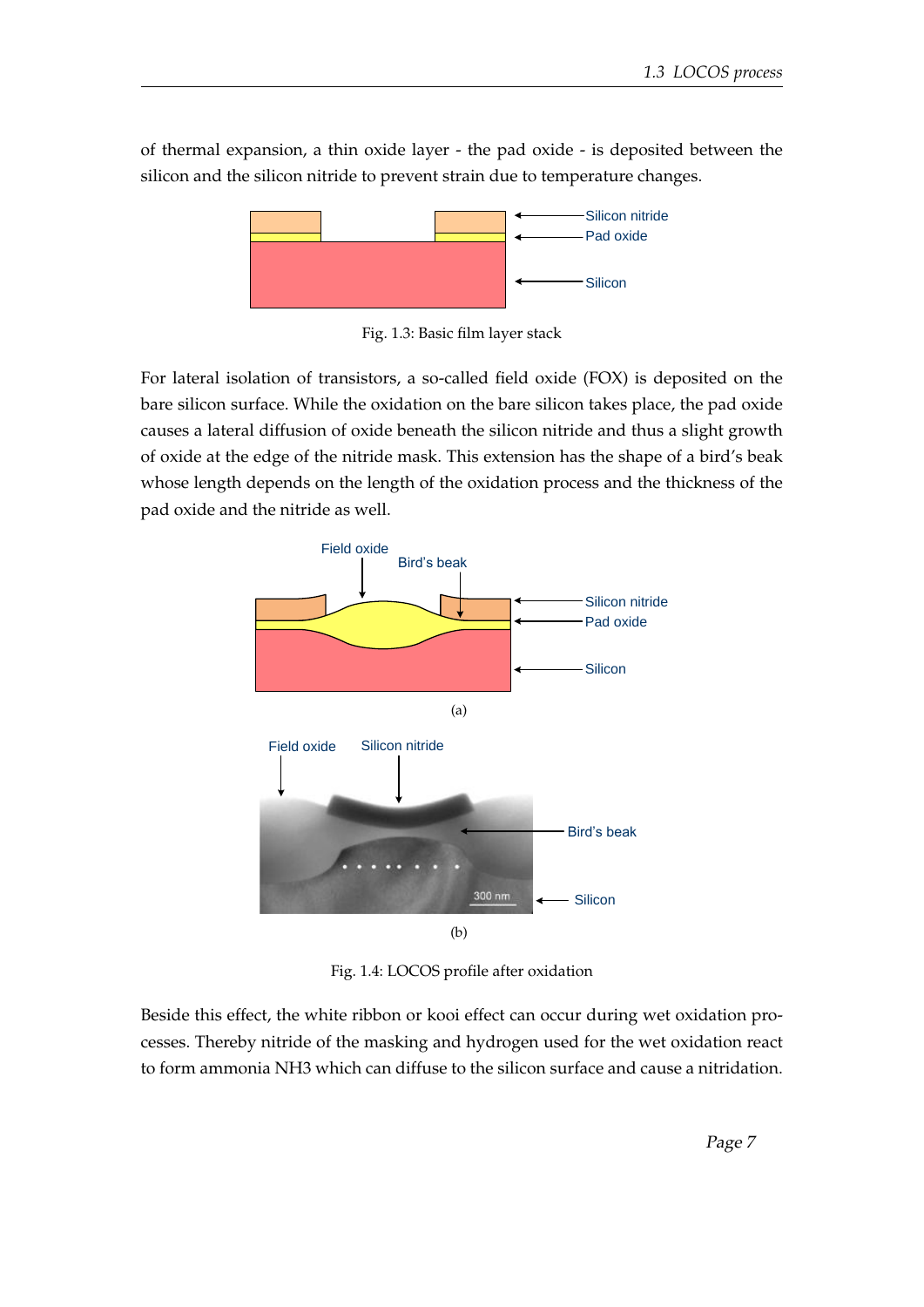<span id="page-11-0"></span>of thermal expansion, a thin oxide layer - the pad oxide - is deposited between the silicon and the silicon nitride to prevent strain due to temperature changes.



Fig. 1.3: Basic film layer stack

For lateral isolation of transistors, a so-called field oxide (FOX) is deposited on the bare silicon surface. While the oxidation on the bare silicon takes place, the pad oxide causes a lateral diffusion of oxide beneath the silicon nitride and thus a slight growth of oxide at the edge of the nitride mask. This extension has the shape of a bird's beak whose length depends on the length of the oxidation process and the thickness of the pad oxide and the nitride as well.

<span id="page-11-1"></span>

Fig. 1.4: LOCOS profile after oxidation

Beside this effect, the white ribbon or kooi effect can occur during wet oxidation processes. Thereby nitride of the masking and hydrogen used for the wet oxidation react to form ammonia NH3 which can diffuse to the silicon surface and cause a nitridation.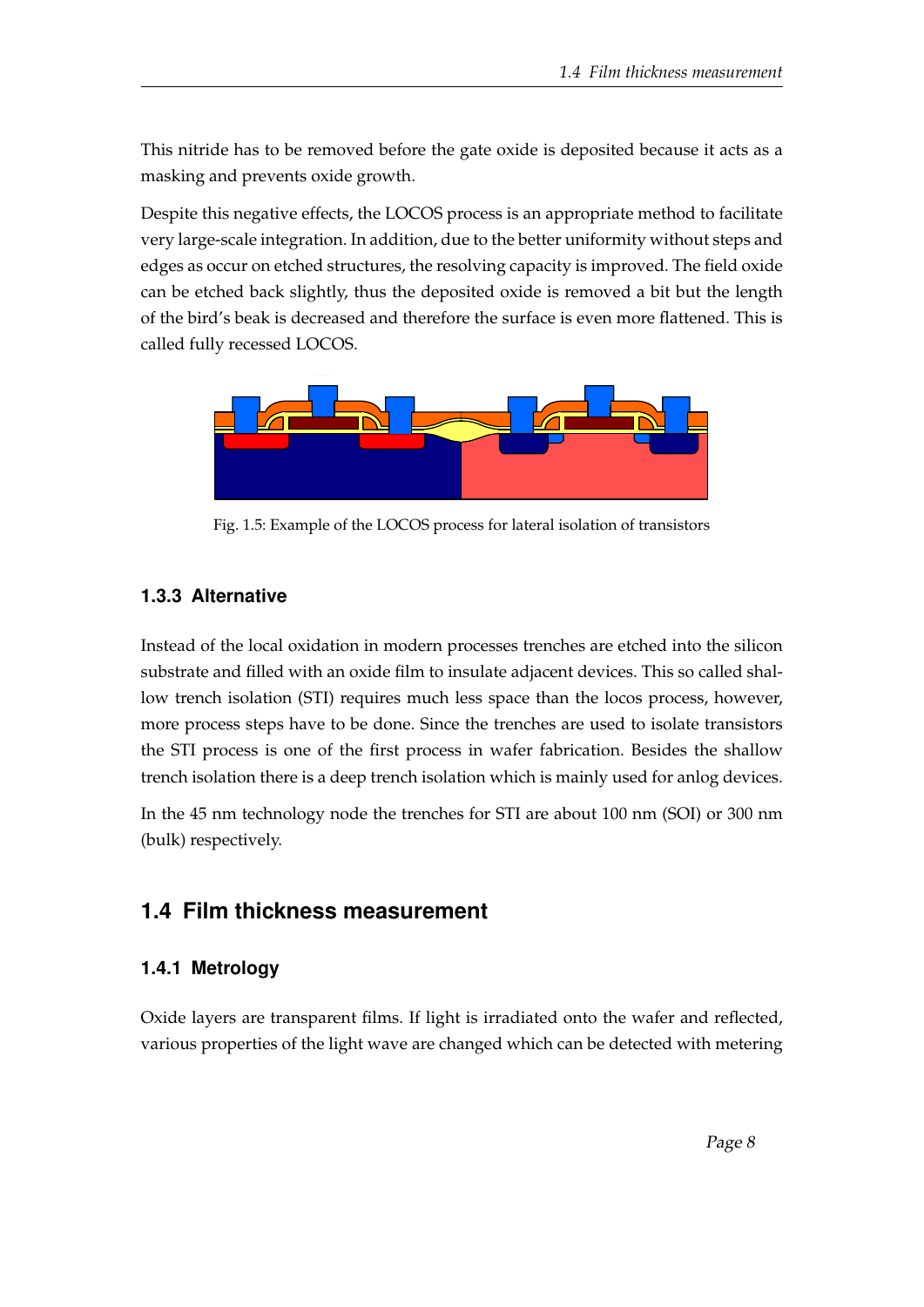This nitride has to be removed before the gate oxide is deposited because it acts as a masking and prevents oxide growth.

Despite this negative effects, the LOCOS process is an appropriate method to facilitate very large-scale integration. In addition, due to the better uniformity without steps and edges as occur on etched structures, the resolving capacity is improved. The field oxide can be etched back slightly, thus the deposited oxide is removed a bit but the length of the bird's beak is decreased and therefore the surface is even more flattened. This is called fully recessed LOCOS.

<span id="page-12-3"></span>

Fig. 1.5: Example of the LOCOS process for lateral isolation of transistors

#### <span id="page-12-0"></span>**1.3.3 Alternative**

Instead of the local oxidation in modern processes trenches are etched into the silicon substrate and filled with an oxide film to insulate adjacent devices. This so called shallow trench isolation (STI) requires much less space than the locos process, however, more process steps have to be done. Since the trenches are used to isolate transistors the STI process is one of the first process in wafer fabrication. Besides the shallow trench isolation there is a deep trench isolation which is mainly used for anlog devices.

In the 45 nm technology node the trenches for STI are about 100 nm (SOI) or 300 nm (bulk) respectively.

### <span id="page-12-1"></span>**1.4 Film thickness measurement**

#### <span id="page-12-2"></span>**1.4.1 Metrology**

Oxide layers are transparent films. If light is irradiated onto the wafer and reflected, various properties of the light wave are changed which can be detected with metering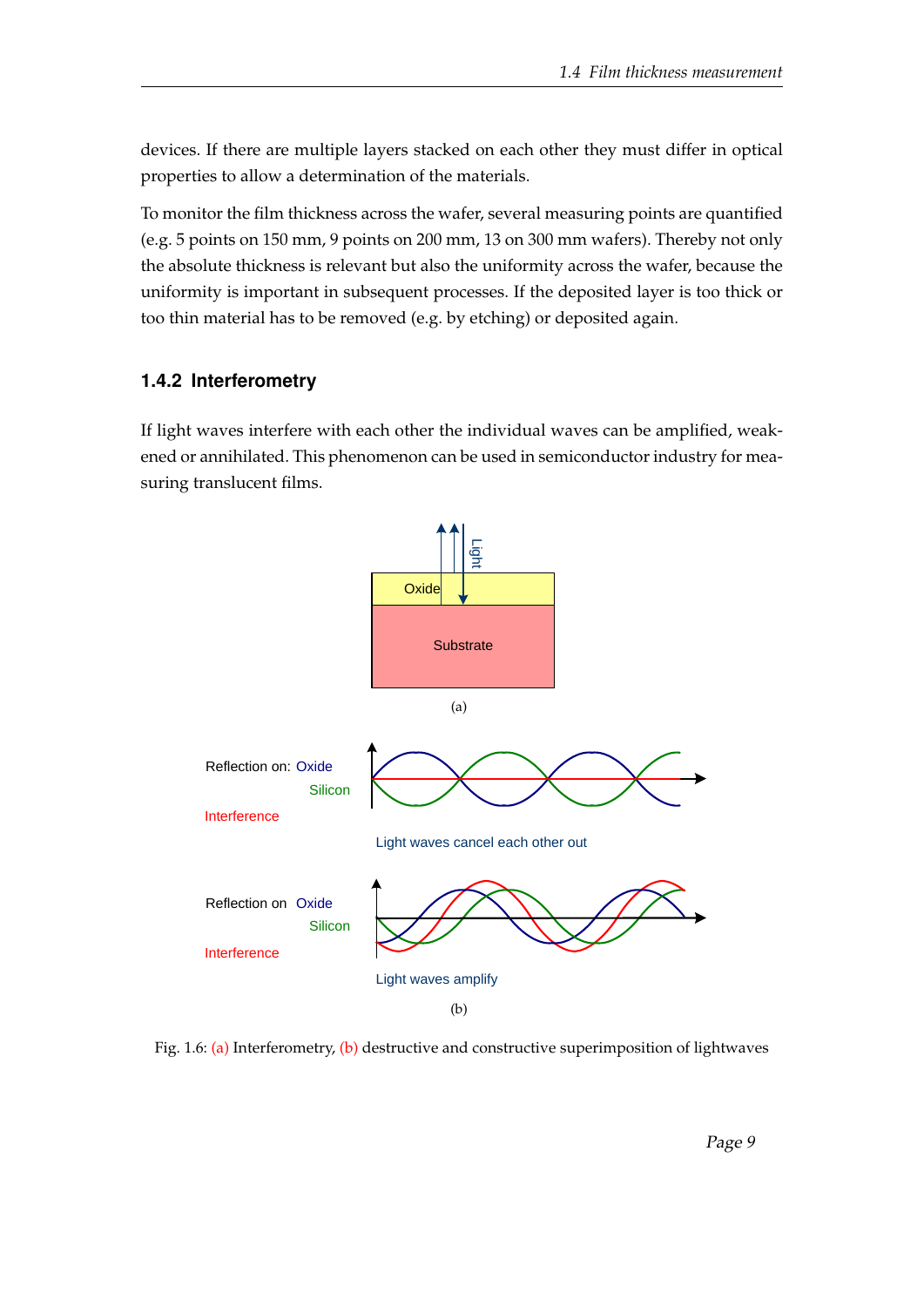devices. If there are multiple layers stacked on each other they must differ in optical properties to allow a determination of the materials.

To monitor the film thickness across the wafer, several measuring points are quantified (e.g. 5 points on 150 mm, 9 points on 200 mm, 13 on 300 mm wafers). Thereby not only the absolute thickness is relevant but also the uniformity across the wafer, because the uniformity is important in subsequent processes. If the deposited layer is too thick or too thin material has to be removed (e.g. by etching) or deposited again.

#### <span id="page-13-0"></span>**1.4.2 Interferometry**

If light waves interfere with each other the individual waves can be amplified, weakened or annihilated. This phenomenon can be used in semiconductor industry for measuring translucent films.

<span id="page-13-3"></span><span id="page-13-2"></span><span id="page-13-1"></span>

Fig. 1.6: [\(a\)](#page-13-2) Interferometry, [\(b\)](#page-13-3) destructive and constructive superimposition of lightwaves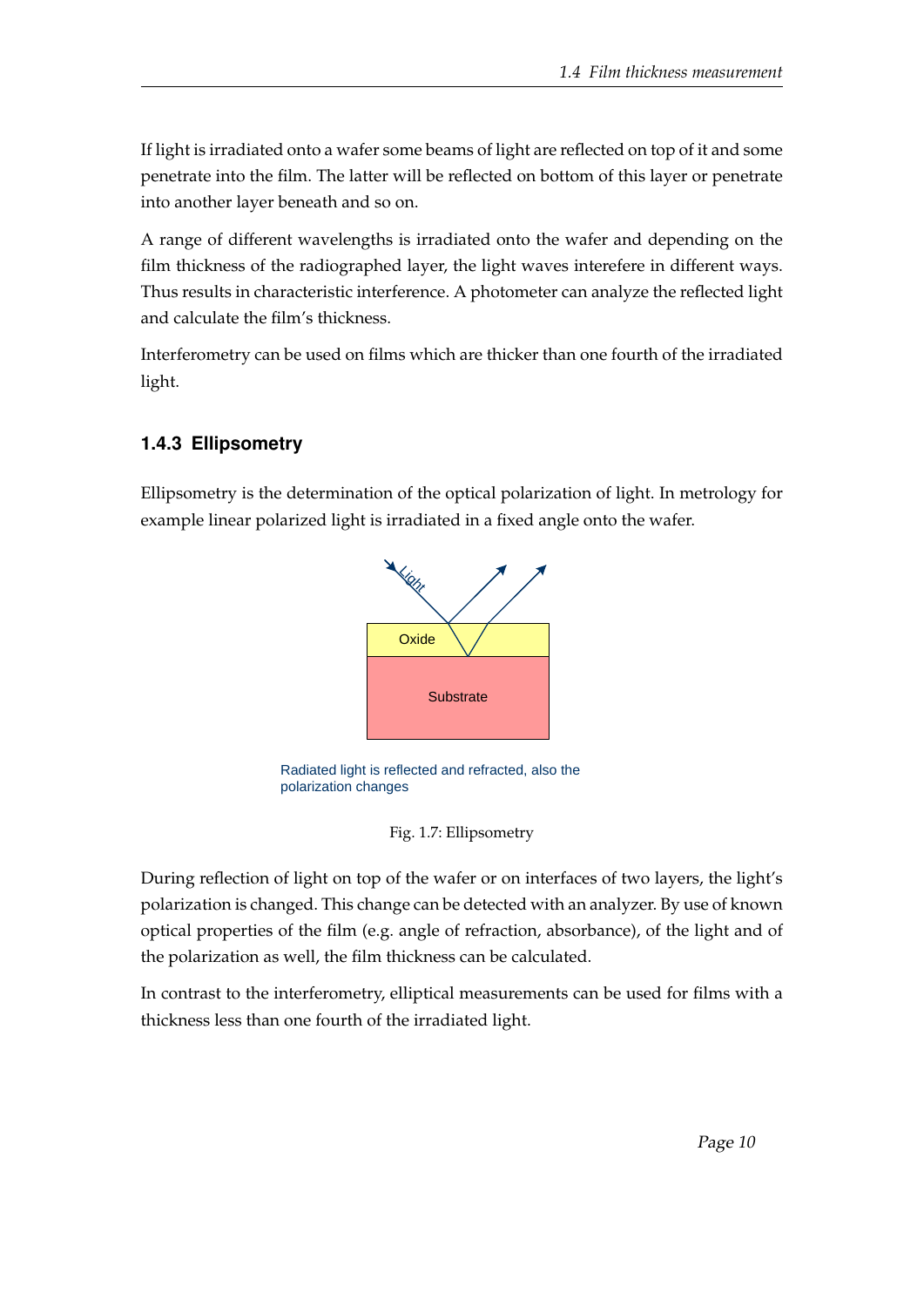If light is irradiated onto a wafer some beams of light are reflected on top of it and some penetrate into the film. The latter will be reflected on bottom of this layer or penetrate into another layer beneath and so on.

A range of different wavelengths is irradiated onto the wafer and depending on the film thickness of the radiographed layer, the light waves interefere in different ways. Thus results in characteristic interference. A photometer can analyze the reflected light and calculate the film's thickness.

Interferometry can be used on films which are thicker than one fourth of the irradiated light.

#### <span id="page-14-0"></span>**1.4.3 Ellipsometry**

<span id="page-14-1"></span>Ellipsometry is the determination of the optical polarization of light. In metrology for example linear polarized light is irradiated in a fixed angle onto the wafer.



Radiated light is reflected and refracted, also the polarization changes

Fig. 1.7: Ellipsometry

During reflection of light on top of the wafer or on interfaces of two layers, the light's polarization is changed. This change can be detected with an analyzer. By use of known optical properties of the film (e.g. angle of refraction, absorbance), of the light and of the polarization as well, the film thickness can be calculated.

In contrast to the interferometry, elliptical measurements can be used for films with a thickness less than one fourth of the irradiated light.